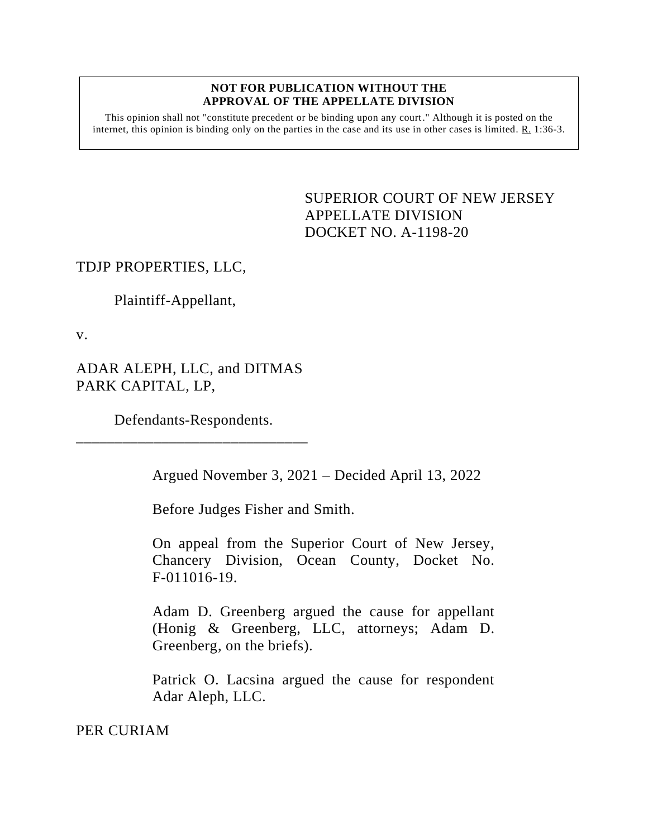#### **NOT FOR PUBLICATION WITHOUT THE APPROVAL OF THE APPELLATE DIVISION**

This opinion shall not "constitute precedent or be binding upon any court." Although it is posted on the internet, this opinion is binding only on the parties in the case and its use in other cases is limited.  $R_1$  1:36-3.

> <span id="page-0-0"></span>SUPERIOR COURT OF NEW JERSEY APPELLATE DIVISION DOCKET NO. A-1198-20

## TDJP PROPERTIES, LLC,

Plaintiff-Appellant,

v.

ADAR ALEPH, LLC, and DITMAS PARK CAPITAL, LP,

Defendants-Respondents. \_\_\_\_\_\_\_\_\_\_\_\_\_\_\_\_\_\_\_\_\_\_\_\_\_\_\_\_\_\_

Argued November 3, 2021 – Decided April 13, 2022

Before Judges Fisher and Smith.

On appeal from the Superior Court of New Jersey, Chancery Division, Ocean County, Docket No. F-011016-19.

Adam D. Greenberg argued the cause for appellant (Honig & Greenberg, LLC, attorneys; Adam D. Greenberg, on the briefs).

Patrick O. Lacsina argued the cause for respondent Adar Aleph, LLC.

PER CURIAM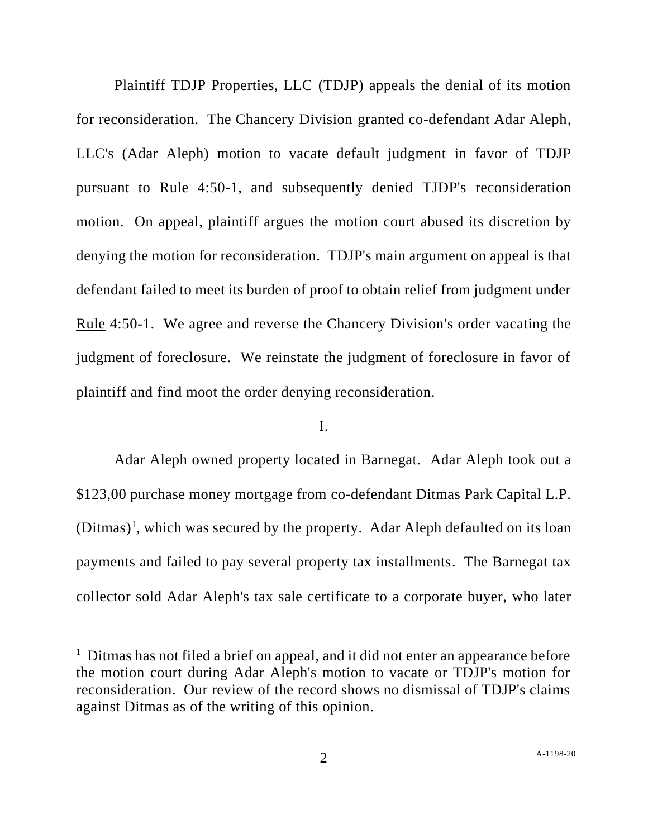Plaintiff TDJP Properties, LLC (TDJP) appeals the denial of its motion for reconsideration. The Chancery Division granted co-defendant Adar Aleph, LLC's (Adar Aleph) motion to vacate default judgment in favor of TDJP pursuant to Rule 4:50-1, and subsequently denied TJDP's reconsideration motion. On appeal, plaintiff argues the motion court abused its discretion by denying the motion for reconsideration. TDJP's main argument on appeal is that defendant failed to meet its burden of proof to obtain relief from judgment under Rule 4:50-1. We agree and reverse the Chancery Division's order vacating the judgment of foreclosure. We reinstate the judgment of foreclosure in favor of plaintiff and find moot the order denying reconsideration.

# I.

Adar Aleph owned property located in Barnegat. Adar Aleph took out a \$123,00 purchase money mortgage from co-defendant Ditmas Park Capital L.P.  $(Ditmas)^1$ , which was secured by the property. Adar Aleph defaulted on its loan payments and failed to pay several property tax installments. The Barnegat tax collector sold Adar Aleph's tax sale certificate to a corporate buyer, who later

<sup>&</sup>lt;sup>1</sup> Ditmas has not filed a brief on appeal, and it did not enter an appearance before the motion court during Adar Aleph's motion to vacate or TDJP's motion for reconsideration. Our review of the record shows no dismissal of TDJP's claims against Ditmas as of the writing of this opinion.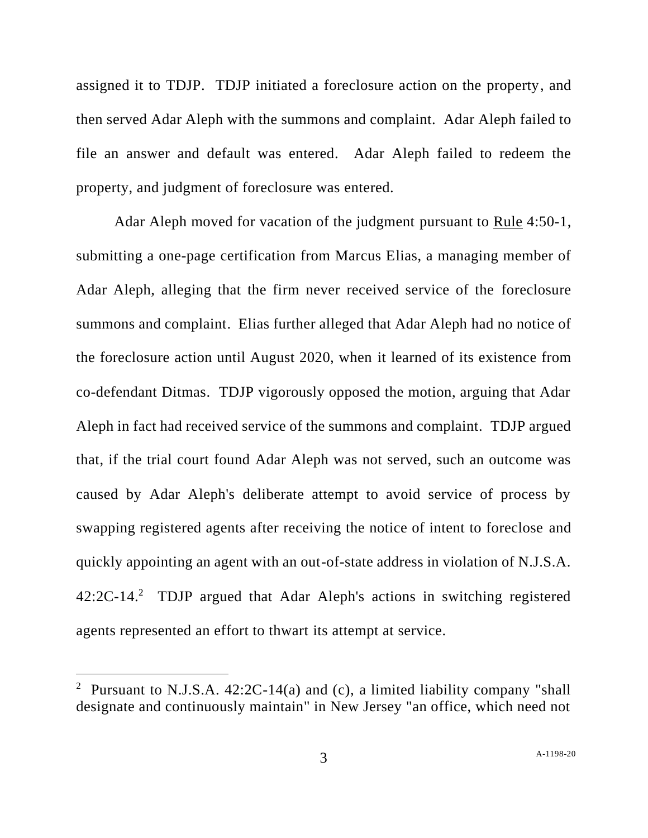assigned it to TDJP. TDJP initiated a foreclosure action on the property, and then served Adar Aleph with the summons and complaint. Adar Aleph failed to file an answer and default was entered. Adar Aleph failed to redeem the property, and judgment of foreclosure was entered.

Adar Aleph moved for vacation of the judgment pursuant to Rule 4:50-1, submitting a one-page certification from Marcus Elias, a managing member of Adar Aleph, alleging that the firm never received service of the foreclosure summons and complaint. Elias further alleged that Adar Aleph had no notice of the foreclosure action until August 2020, when it learned of its existence from co-defendant Ditmas. TDJP vigorously opposed the motion, arguing that Adar Aleph in fact had received service of the summons and complaint. TDJP argued that, if the trial court found Adar Aleph was not served, such an outcome was caused by Adar Aleph's deliberate attempt to avoid service of process by swapping registered agents after receiving the notice of intent to foreclose and quickly appointing an agent with an out-of-state address in violation of N.J.S.A. 42:2C-14.<sup>2</sup> TDJP argued that Adar Aleph's actions in switching registered agents represented an effort to thwart its attempt at service.

<sup>&</sup>lt;sup>2</sup> Pursuant to N.J.S.A.  $42:2C-14(a)$  and (c), a limited liability company "shall designate and continuously maintain" in New Jersey "an office, which need not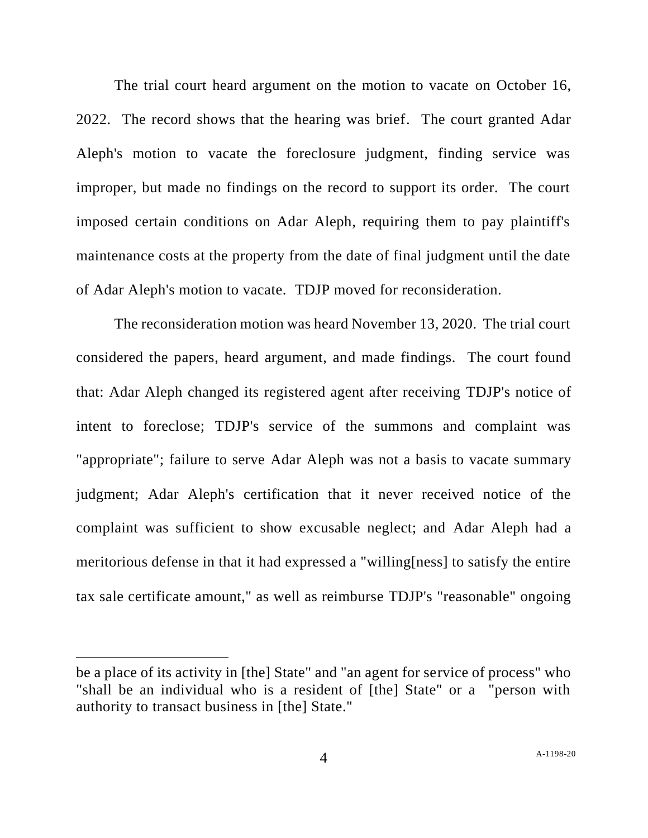The trial court heard argument on the motion to vacate on October 16, 2022. The record shows that the hearing was brief. The court granted Adar Aleph's motion to vacate the foreclosure judgment, finding service was improper, but made no findings on the record to support its order. The court imposed certain conditions on Adar Aleph, requiring them to pay plaintiff's maintenance costs at the property from the date of final judgment until the date of Adar Aleph's motion to vacate. TDJP moved for reconsideration.

The reconsideration motion was heard November 13, 2020. The trial court considered the papers, heard argument, and made findings. The court found that: Adar Aleph changed its registered agent after receiving TDJP's notice of intent to foreclose; TDJP's service of the summons and complaint was "appropriate"; failure to serve Adar Aleph was not a basis to vacate summary judgment; Adar Aleph's certification that it never received notice of the complaint was sufficient to show excusable neglect; and Adar Aleph had a meritorious defense in that it had expressed a "willing[ness] to satisfy the entire tax sale certificate amount," as well as reimburse TDJP's "reasonable" ongoing

be a place of its activity in [the] State" and "an agent for service of process" who "shall be an individual who is a resident of [the] State" or a "person with authority to transact business in [the] State."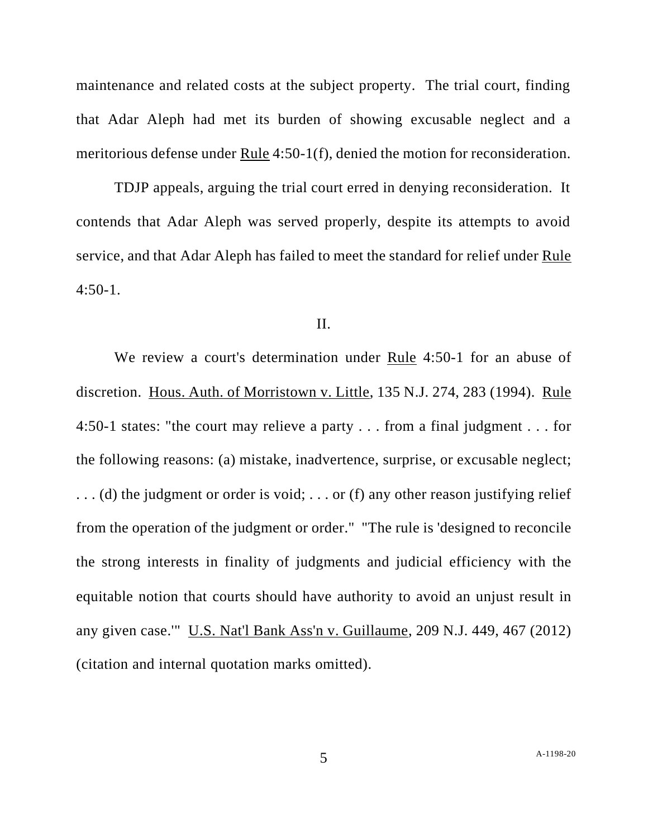maintenance and related costs at the subject property. The trial court, finding that Adar Aleph had met its burden of showing excusable neglect and a meritorious defense under Rule 4:50-1(f), denied the motion for reconsideration.

TDJP appeals, arguing the trial court erred in denying reconsideration. It contends that Adar Aleph was served properly, despite its attempts to avoid service, and that Adar Aleph has failed to meet the standard for relief under Rule 4:50-1.

#### II.

We review a court's determination under Rule 4:50-1 for an abuse of discretion. Hous. Auth. of Morristown v. Little, 135 N.J. 274, 283 (1994). Rule 4:50-1 states: "the court may relieve a party . . . from a final judgment . . . for the following reasons: (a) mistake, inadvertence, surprise, or excusable neglect; . . . (d) the judgment or order is void; . . . or (f) any other reason justifying relief from the operation of the judgment or order." "The rule is 'designed to reconcile the strong interests in finality of judgments and judicial efficiency with the equitable notion that courts should have authority to avoid an unjust result in any given case.'" U.S. Nat'l Bank Ass'n v. Guillaume, 209 N.J. 449, 467 (2012) (citation and internal quotation marks omitted).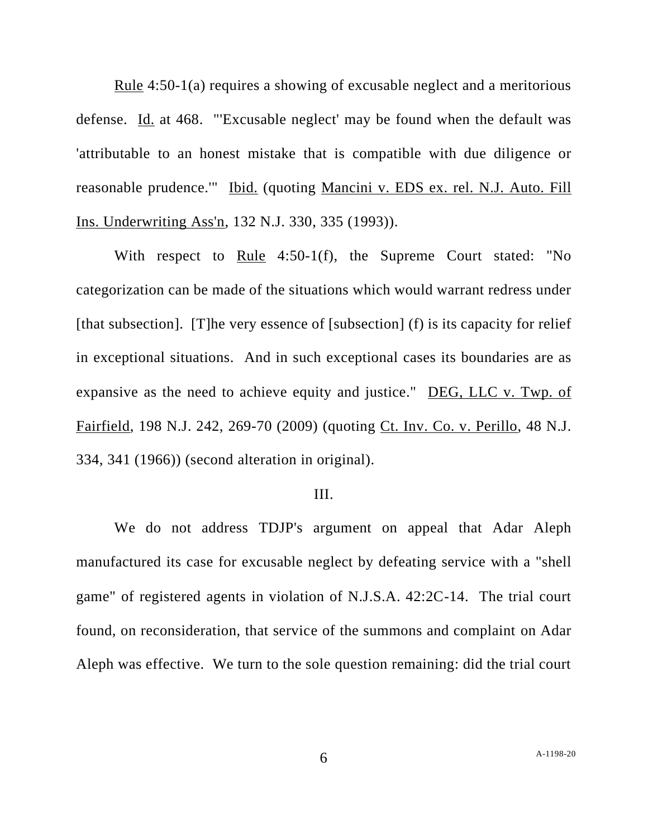Rule 4:50-1(a) requires a showing of excusable neglect and a meritorious defense. Id. at 468. "'Excusable neglect' may be found when the default was 'attributable to an honest mistake that is compatible with due diligence or reasonable prudence.'" Ibid. (quoting Mancini v. EDS ex. rel. N.J. Auto. Fill Ins. Underwriting Ass'n, 132 N.J. 330, 335 (1993)).

With respect to Rule 4:50-1(f), the Supreme Court stated: "No categorization can be made of the situations which would warrant redress under [that subsection]. [T]he very essence of [subsection] (f) is its capacity for relief in exceptional situations. And in such exceptional cases its boundaries are as expansive as the need to achieve equity and justice." DEG, LLC v. Twp. of Fairfield, 198 N.J. 242, 269-70 (2009) (quoting Ct. Inv. Co. v. Perillo, 48 N.J. 334, 341 (1966)) (second alteration in original).

### III.

We do not address TDJP's argument on appeal that Adar Aleph manufactured its case for excusable neglect by defeating service with a "shell game" of registered agents in violation of N.J.S.A. 42:2C-14. The trial court found, on reconsideration, that service of the summons and complaint on Adar Aleph was effective. We turn to the sole question remaining: did the trial court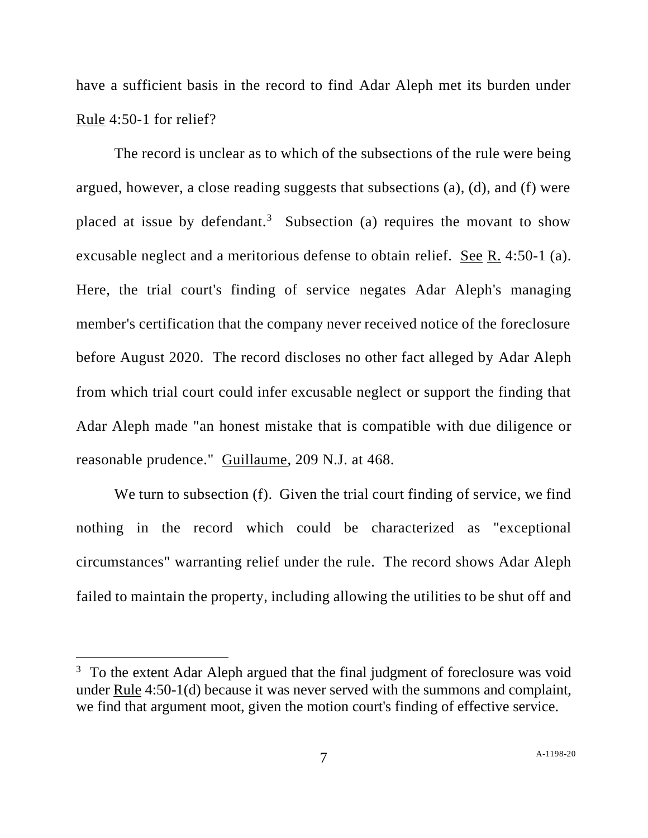have a sufficient basis in the record to find Adar Aleph met its burden under Rule 4:50-1 for relief?

The record is unclear as to which of the subsections of the rule were being argued, however, a close reading suggests that subsections (a), (d), and (f) were placed at issue by defendant.<sup>3</sup> Subsection (a) requires the movant to show excusable neglect and a meritorious defense to obtain relief. See R. 4:50-1 (a). Here, the trial court's finding of service negates Adar Aleph's managing member's certification that the company never received notice of the foreclosure before August 2020. The record discloses no other fact alleged by Adar Aleph from which trial court could infer excusable neglect or support the finding that Adar Aleph made "an honest mistake that is compatible with due diligence or reasonable prudence." Guillaume, 209 N.J. at 468.

We turn to subsection (f). Given the trial court finding of service, we find nothing in the record which could be characterized as "exceptional circumstances" warranting relief under the rule. The record shows Adar Aleph failed to maintain the property, including allowing the utilities to be shut off and

 $3$  To the extent Adar Aleph argued that the final judgment of foreclosure was void under Rule 4:50-1(d) because it was never served with the summons and complaint, we find that argument moot, given the motion court's finding of effective service.